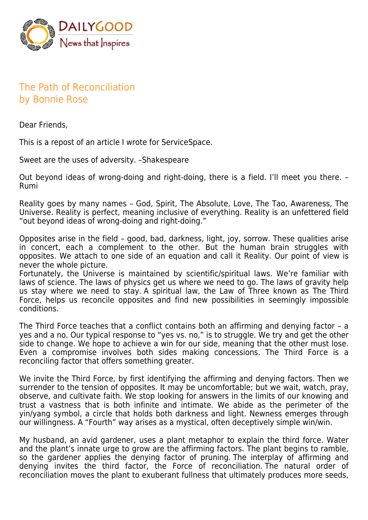

## The Path of Reconciliation by Bonnie Rose

Dear Friends,

This is a repost of an article I wrote for ServiceSpace.

Sweet are the uses of adversity. –Shakespeare

Out beyond ideas of wrong-doing and right-doing, there is a field. I'll meet you there. – Rumi

Reality goes by many names – God, Spirit, The Absolute, Love, The Tao, Awareness, The Universe. Reality is perfect, meaning inclusive of everything. Reality is an unfettered field "out beyond ideas of wrong-doing and right-doing."

Opposites arise in the field – good, bad, darkness, light, joy, sorrow. These qualities arise in concert, each a complement to the other. But the human brain struggles with opposites. We attach to one side of an equation and call it Reality. Our point of view is never the whole picture.

Fortunately, the Universe is maintained by scientific/spiritual laws. We're familiar with laws of science. The laws of physics get us where we need to go. The laws of gravity help us stay where we need to stay. A spiritual law, the Law of Three known as The Third Force, helps us reconcile opposites and find new possibilities in seemingly impossible conditions.

The Third Force teaches that a conflict contains both an affirming and denying factor – a yes and a no. Our typical response to "yes vs. no," is to struggle. We try and get the other side to change. We hope to achieve a win for our side, meaning that the other must lose. Even a compromise involves both sides making concessions. The Third Force is a reconciling factor that offers something greater.

We invite the Third Force, by first identifying the affirming and denying factors. Then we surrender to the tension of opposites. It may be uncomfortable; but we wait, watch, pray, observe, and cultivate faith. We stop looking for answers in the limits of our knowing and trust a vastness that is both infinite and intimate. We abide as the perimeter of the yin/yang symbol, a circle that holds both darkness and light. Newness emerges through our willingness. A "Fourth" way arises as a mystical, often deceptively simple win/win.

My husband, an avid gardener, uses a plant metaphor to explain the third force. Water and the plant's innate urge to grow are the affirming factors. The plant begins to ramble, so the gardener applies the denying factor of pruning. The interplay of affirming and denying invites the third factor, the Force of reconciliation. The natural order of reconciliation moves the plant to exuberant fullness that ultimately produces more seeds,